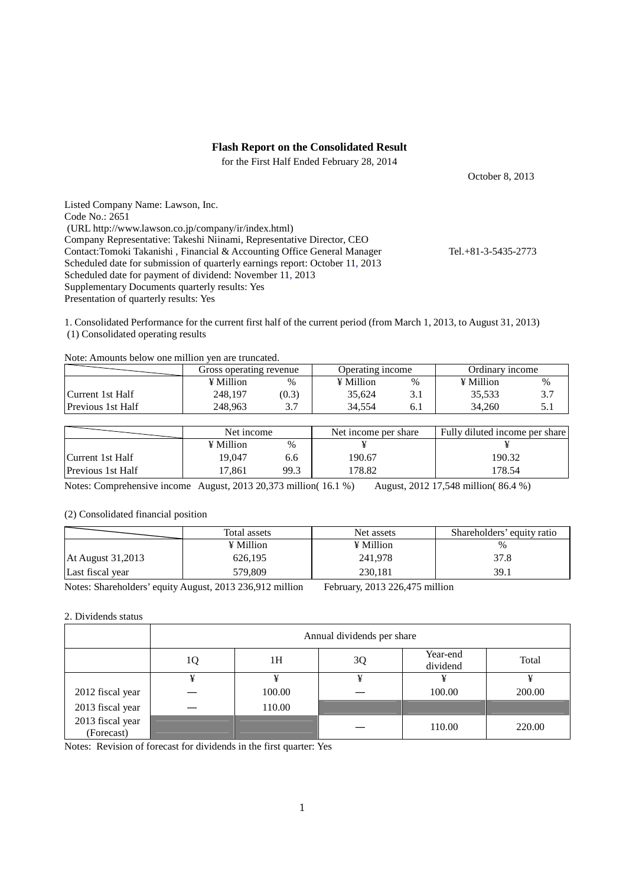### **Flash Report on the Consolidated Result**

for the First Half Ended February 28, 2014

October 8, 2013

Listed Company Name: Lawson, Inc. Code No.: 2651 (URL http://www.lawson.co.jp/company/ir/index.html) Company Representative: Takeshi Niinami, Representative Director, CEO Contact:Tomoki Takanishi , Financial & Accounting Office General Manager Tel.+81-3-5435-2773 Scheduled date for submission of quarterly earnings report: October 11, 2013 Scheduled date for payment of dividend: November 11, 2013 Supplementary Documents quarterly results: Yes Presentation of quarterly results: Yes

1. Consolidated Performance for the current first half of the current period (from March 1, 2013, to August 31, 2013)

(1) Consolidated operating results

| Note: Amounts below one million yen are truncated. |  |
|----------------------------------------------------|--|
|                                                    |  |

|                          | Gross operating revenue |          | Operating income |     | Ordinary income |            |
|--------------------------|-------------------------|----------|------------------|-----|-----------------|------------|
|                          | $\angle$ Million        | $\%$     | $\angle$ Million | %   | ¥ Million       | $\%$       |
| Current 1st Half         | 248,197                 | (0.3)    | 35,624           | 3.1 | 35,533          | <u>. د</u> |
| <b>Previous 1st Half</b> | 248.963                 | າ າ<br>، | 34.554           | 6.1 | 34,260          |            |

|                          | Net income |               | Net income per share | Fully diluted income per share |
|--------------------------|------------|---------------|----------------------|--------------------------------|
|                          | ¥ Million  | $\frac{0}{0}$ |                      |                                |
| Current 1st Half         | 19.047     | 6.6           | 190.67               | 190.32                         |
| <b>Previous 1st Half</b> | 7.861      | 99.3          | 178.82               | 178.54                         |

Notes: Comprehensive income August, 2013 20,373 million( 16.1 %) August, 2012 17,548 million( 86.4 %)

### (2) Consolidated financial position

|                   | Total assets | Net assets | Shareholders' equity ratio |
|-------------------|--------------|------------|----------------------------|
|                   | ¥ Million    | ¥ Million  |                            |
| At August 31,2013 | 626,195      | 241,978    | 37.8                       |
| Last fiscal year  | 579.809      | 230.181    | 39.1                       |

Notes: Shareholders' equity August, 2013 236,912 million February, 2013 226,475 million

#### 2. Dividends status

|                                | Annual dividends per share |        |    |                      |        |  |
|--------------------------------|----------------------------|--------|----|----------------------|--------|--|
|                                | 1Q                         | 1H     | 3Q | Year-end<br>dividend | Total  |  |
|                                | ¥                          | ¥      | ¥  | ¥                    |        |  |
| 2012 fiscal year               |                            | 100.00 |    | 100.00               | 200.00 |  |
| 2013 fiscal year               |                            | 110.00 |    |                      |        |  |
| 2013 fiscal year<br>(Forecast) |                            |        |    | 110.00               | 220.00 |  |

Notes: Revision of forecast for dividends in the first quarter: Yes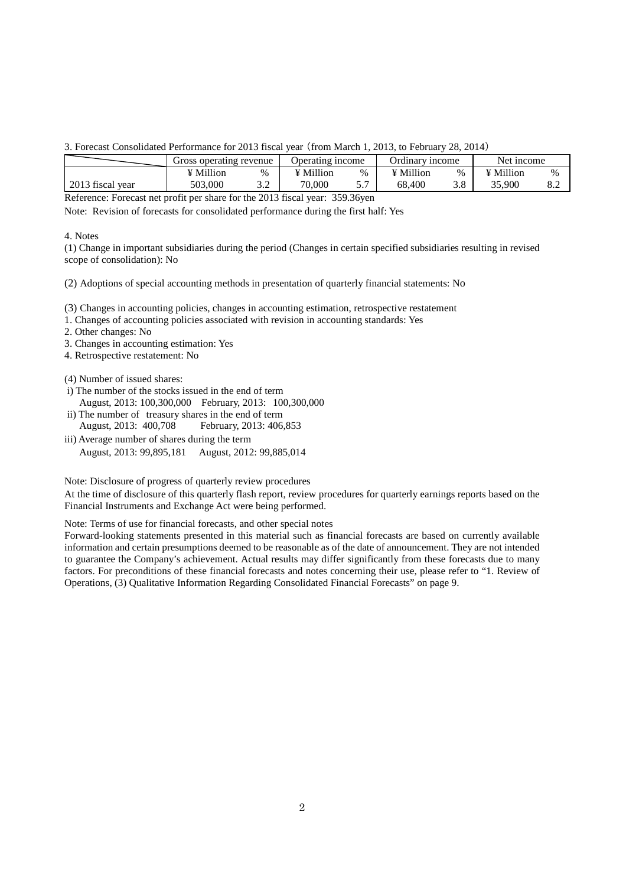3. Forecast Consolidated Performance for 2013 fiscal year (from March 1, 2013, to February 28, 2014)

|                  | Gross operating revenue |       | Operating income |   | Ordinary income |      | Net income |     |
|------------------|-------------------------|-------|------------------|---|-----------------|------|------------|-----|
|                  | <sup>V</sup> Million    | $\%$  | ¥ Million        | % | ¥ Million       | $\%$ | ¥ Million  | %   |
| 2013 fiscal year | 503,000                 | ے . د | 70,000           |   | 68.400          | 3.8  | 35,900     | o.∠ |

Reference: Forecast net profit per share for the 2013 fiscal year: 359.36yen

Note: Revision of forecasts for consolidated performance during the first half: Yes

#### 4. Notes

(1) Change in important subsidiaries during the period (Changes in certain specified subsidiaries resulting in revised scope of consolidation): No

(2) Adoptions of special accounting methods in presentation of quarterly financial statements: No

(3) Changes in accounting policies, changes in accounting estimation, retrospective restatement

1. Changes of accounting policies associated with revision in accounting standards: Yes

2. Other changes: No

3. Changes in accounting estimation: Yes

4. Retrospective restatement: No

(4) Number of issued shares:

- i) The number of the stocks issued in the end of term August, 2013: 100,300,000 February, 2013: 100,300,000
- ii) The number of treasury shares in the end of term August, 2013: 400,708 February, 2013: 406,853
- iii) Average number of shares during the term August, 2013: 99,895,181 August, 2012: 99,885,014

Note: Disclosure of progress of quarterly review procedures

At the time of disclosure of this quarterly flash report, review procedures for quarterly earnings reports based on the Financial Instruments and Exchange Act were being performed.

Note: Terms of use for financial forecasts, and other special notes

Forward-looking statements presented in this material such as financial forecasts are based on currently available information and certain presumptions deemed to be reasonable as of the date of announcement. They are not intended to guarantee the Company's achievement. Actual results may differ significantly from these forecasts due to many factors. For preconditions of these financial forecasts and notes concerning their use, please refer to "1. Review of Operations, (3) Qualitative Information Regarding Consolidated Financial Forecasts" on page 9.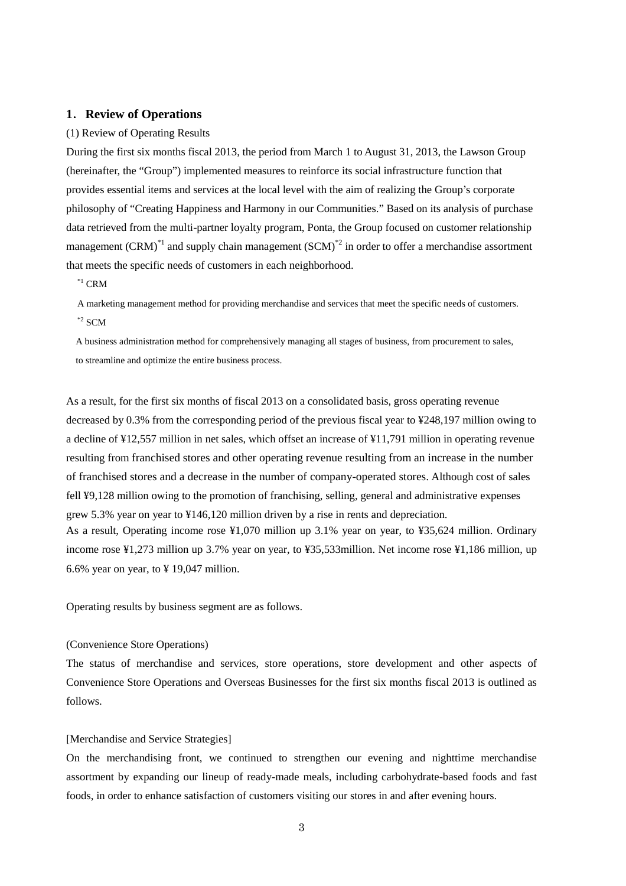## **1**.**Review of Operations**

#### (1) Review of Operating Results

During the first six months fiscal 2013, the period from March 1 to August 31, 2013, the Lawson Group (hereinafter, the "Group") implemented measures to reinforce its social infrastructure function that provides essential items and services at the local level with the aim of realizing the Group's corporate philosophy of "Creating Happiness and Harmony in our Communities." Based on its analysis of purchase data retrieved from the multi-partner loyalty program, Ponta, the Group focused on customer relationship management (CRM)<sup>\*1</sup> and supply chain management (SCM)<sup>\*2</sup> in order to offer a merchandise assortment that meets the specific needs of customers in each neighborhood.

 $^{\ast1}$  CRM

A marketing management method for providing merchandise and services that meet the specific needs of customers.  $*$ <sup>2</sup> SCM

A business administration method for comprehensively managing all stages of business, from procurement to sales, to streamline and optimize the entire business process.

As a result, for the first six months of fiscal 2013 on a consolidated basis, gross operating revenue decreased by 0.3% from the corresponding period of the previous fiscal year to ¥248,197 million owing to a decline of ¥12,557 million in net sales, which offset an increase of ¥11,791 million in operating revenue resulting from franchised stores and other operating revenue resulting from an increase in the number of franchised stores and a decrease in the number of company-operated stores. Although cost of sales fell ¥9,128 million owing to the promotion of franchising, selling, general and administrative expenses grew 5.3% year on year to ¥146,120 million driven by a rise in rents and depreciation. As a result, Operating income rose ¥1,070 million up 3.1% year on year, to ¥35,624 million. Ordinary income rose ¥1,273 million up 3.7% year on year, to ¥35,533million. Net income rose ¥1,186 million, up 6.6% year on year, to  $\frac{1}{2}$  19,047 million.

Operating results by business segment are as follows.

#### (Convenience Store Operations)

The status of merchandise and services, store operations, store development and other aspects of Convenience Store Operations and Overseas Businesses for the first six months fiscal 2013 is outlined as follows.

#### [Merchandise and Service Strategies]

On the merchandising front, we continued to strengthen our evening and nighttime merchandise assortment by expanding our lineup of ready-made meals, including carbohydrate-based foods and fast foods, in order to enhance satisfaction of customers visiting our stores in and after evening hours.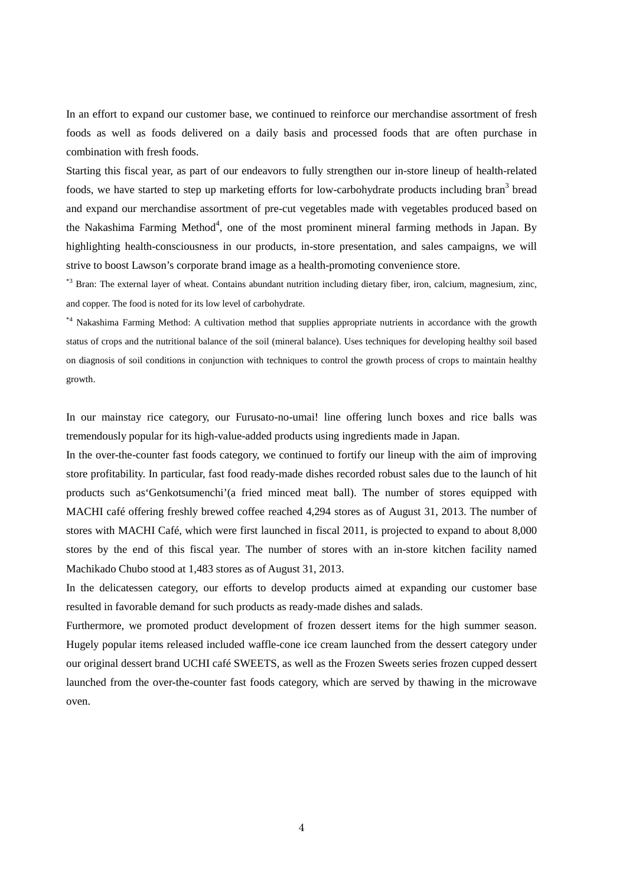In an effort to expand our customer base, we continued to reinforce our merchandise assortment of fresh foods as well as foods delivered on a daily basis and processed foods that are often purchase in combination with fresh foods.

Starting this fiscal year, as part of our endeavors to fully strengthen our in-store lineup of health-related foods, we have started to step up marketing efforts for low-carbohydrate products including bran<sup>3</sup> bread and expand our merchandise assortment of pre-cut vegetables made with vegetables produced based on the Nakashima Farming Method<sup>4</sup>, one of the most prominent mineral farming methods in Japan. By highlighting health-consciousness in our products, in-store presentation, and sales campaigns, we will strive to boost Lawson's corporate brand image as a health-promoting convenience store.

\*3 Bran: The external layer of wheat. Contains abundant nutrition including dietary fiber, iron, calcium, magnesium, zinc, and copper. The food is noted for its low level of carbohydrate.

\*4 Nakashima Farming Method: A cultivation method that supplies appropriate nutrients in accordance with the growth status of crops and the nutritional balance of the soil (mineral balance). Uses techniques for developing healthy soil based on diagnosis of soil conditions in conjunction with techniques to control the growth process of crops to maintain healthy growth.

In our mainstay rice category, our Furusato-no-umai! line offering lunch boxes and rice balls was tremendously popular for its high-value-added products using ingredients made in Japan.

In the over-the-counter fast foods category, we continued to fortify our lineup with the aim of improving store profitability. In particular, fast food ready-made dishes recorded robust sales due to the launch of hit products such as'Genkotsumenchi'(a fried minced meat ball). The number of stores equipped with MACHI café offering freshly brewed coffee reached 4,294 stores as of August 31, 2013. The number of stores with MACHI Café, which were first launched in fiscal 2011, is projected to expand to about 8,000 stores by the end of this fiscal year. The number of stores with an in-store kitchen facility named Machikado Chubo stood at 1,483 stores as of August 31, 2013.

In the delicatessen category, our efforts to develop products aimed at expanding our customer base resulted in favorable demand for such products as ready-made dishes and salads.

Furthermore, we promoted product development of frozen dessert items for the high summer season. Hugely popular items released included waffle-cone ice cream launched from the dessert category under our original dessert brand UCHI café SWEETS, as well as the Frozen Sweets series frozen cupped dessert launched from the over-the-counter fast foods category, which are served by thawing in the microwave oven.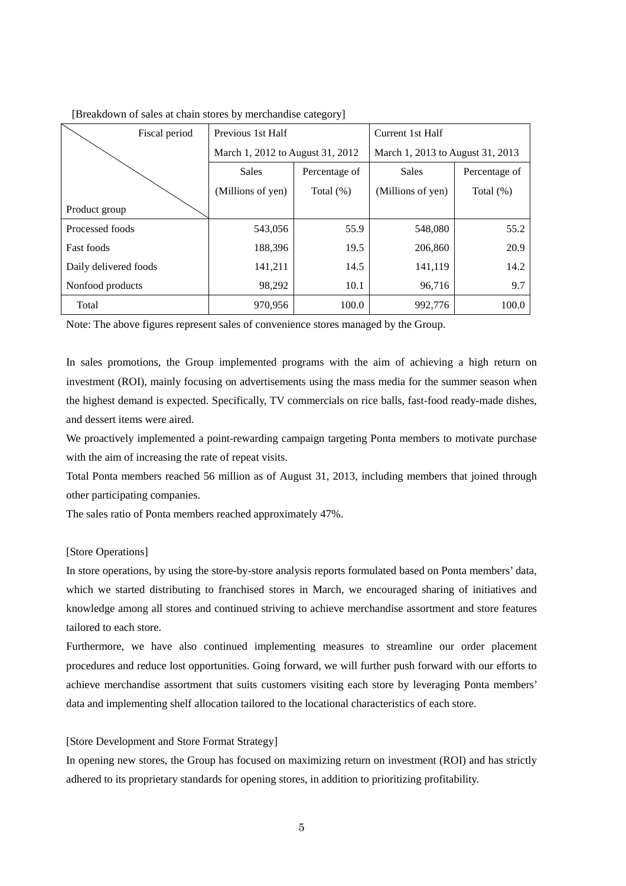| Fiscal period         | Previous 1st Half                |              | Current 1st Half                 |               |  |
|-----------------------|----------------------------------|--------------|----------------------------------|---------------|--|
|                       | March 1, 2012 to August 31, 2012 |              | March 1, 2013 to August 31, 2013 |               |  |
|                       | <b>Sales</b><br>Percentage of    |              | Sales                            | Percentage of |  |
|                       | (Millions of yen)                | Total $(\%)$ | (Millions of yen)                | Total $(\%)$  |  |
| Product group         |                                  |              |                                  |               |  |
| Processed foods       | 543,056                          | 55.9         | 548,080                          | 55.2          |  |
| <b>Fast foods</b>     | 188,396                          | 19.5         | 206,860                          | 20.9          |  |
| Daily delivered foods | 141,211                          | 14.5         | 141,119                          | 14.2          |  |
| Nonfood products      | 98,292                           | 10.1         | 96,716                           | 9.7           |  |
| Total                 | 970,956                          | 100.0        | 992,776                          | 100.0         |  |

[Breakdown of sales at chain stores by merchandise category]

Note: The above figures represent sales of convenience stores managed by the Group.

In sales promotions, the Group implemented programs with the aim of achieving a high return on investment (ROI), mainly focusing on advertisements using the mass media for the summer season when the highest demand is expected. Specifically, TV commercials on rice balls, fast-food ready-made dishes, and dessert items were aired.

We proactively implemented a point-rewarding campaign targeting Ponta members to motivate purchase with the aim of increasing the rate of repeat visits.

Total Ponta members reached 56 million as of August 31, 2013, including members that joined through other participating companies.

The sales ratio of Ponta members reached approximately 47%.

### [Store Operations]

In store operations, by using the store-by-store analysis reports formulated based on Ponta members' data, which we started distributing to franchised stores in March, we encouraged sharing of initiatives and knowledge among all stores and continued striving to achieve merchandise assortment and store features tailored to each store.

Furthermore, we have also continued implementing measures to streamline our order placement procedures and reduce lost opportunities. Going forward, we will further push forward with our efforts to achieve merchandise assortment that suits customers visiting each store by leveraging Ponta members' data and implementing shelf allocation tailored to the locational characteristics of each store.

### [Store Development and Store Format Strategy]

In opening new stores, the Group has focused on maximizing return on investment (ROI) and has strictly adhered to its proprietary standards for opening stores, in addition to prioritizing profitability.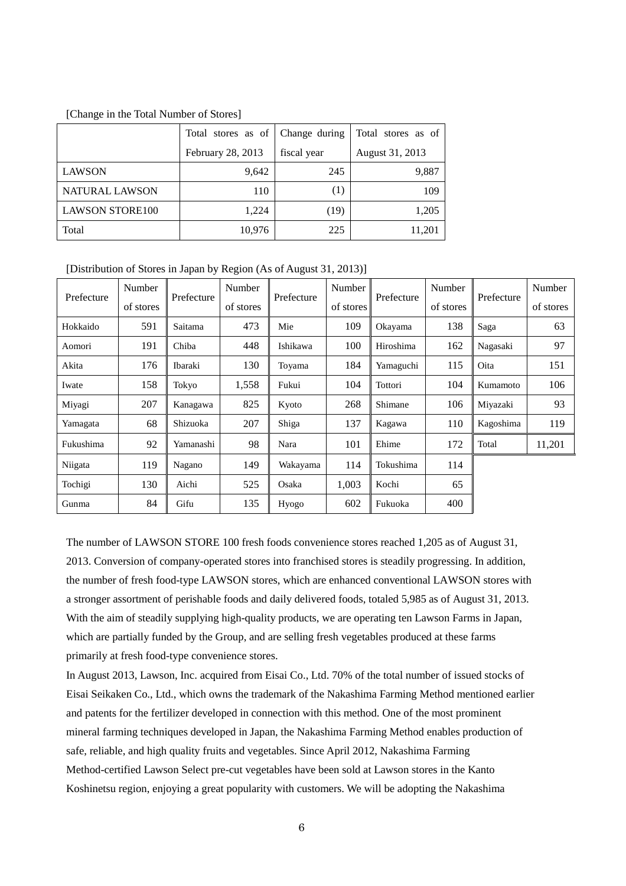#### [Change in the Total Number of Stores]

|                        | Total stores as of | Change during    | Total stores as of |
|------------------------|--------------------|------------------|--------------------|
|                        | February 28, 2013  | fiscal year      | August 31, 2013    |
| <b>LAWSON</b>          | 9,642              | 245              | 9,887              |
| <b>NATURAL LAWSON</b>  | 110                | $\left(1\right)$ | 109                |
| <b>LAWSON STORE100</b> | 1,224              | (19)             | 1,205              |
| Total                  | 10,976             | 225              | 11,201             |

[Distribution of Stores in Japan by Region (As of August 31, 2013)]

| Prefecture | Number<br>of stores | Prefecture | Number<br>of stores | Prefecture | Number<br>of stores | Prefecture | Number<br>of stores | Prefecture | Number<br>of stores |
|------------|---------------------|------------|---------------------|------------|---------------------|------------|---------------------|------------|---------------------|
| Hokkaido   | 591                 | Saitama    | 473                 | Mie        | 109                 | Okayama    | 138                 | Saga       | 63                  |
| Aomori     | 191                 | Chiba      | 448                 | Ishikawa   | 100                 | Hiroshima  | 162                 | Nagasaki   | 97                  |
| Akita      | 176                 | Ibaraki    | 130                 | Toyama     | 184                 | Yamaguchi  | 115                 | Oita       | 151                 |
| Iwate      | 158                 | Tokyo      | 1,558               | Fukui      | 104                 | Tottori    | 104                 | Kumamoto   | 106                 |
| Miyagi     | 207                 | Kanagawa   | 825                 | Kyoto      | 268                 | Shimane    | 106                 | Miyazaki   | 93                  |
| Yamagata   | 68                  | Shizuoka   | 207                 | Shiga      | 137                 | Kagawa     | 110                 | Kagoshima  | 119                 |
| Fukushima  | 92                  | Yamanashi  | 98                  | Nara       | 101                 | Ehime      | 172                 | Total      | 11,201              |
| Niigata    | 119                 | Nagano     | 149                 | Wakayama   | 114                 | Tokushima  | 114                 |            |                     |
| Tochigi    | 130                 | Aichi      | 525                 | Osaka      | 1,003               | Kochi      | 65                  |            |                     |
| Gunma      | 84                  | Gifu       | 135                 | Hyogo      | 602                 | Fukuoka    | 400                 |            |                     |

The number of LAWSON STORE 100 fresh foods convenience stores reached 1,205 as of August 31, 2013. Conversion of company-operated stores into franchised stores is steadily progressing. In addition, the number of fresh food-type LAWSON stores, which are enhanced conventional LAWSON stores with a stronger assortment of perishable foods and daily delivered foods, totaled 5,985 as of August 31, 2013. With the aim of steadily supplying high-quality products, we are operating ten Lawson Farms in Japan, which are partially funded by the Group, and are selling fresh vegetables produced at these farms primarily at fresh food-type convenience stores.

In August 2013, Lawson, Inc. acquired from Eisai Co., Ltd. 70% of the total number of issued stocks of Eisai Seikaken Co., Ltd., which owns the trademark of the Nakashima Farming Method mentioned earlier and patents for the fertilizer developed in connection with this method. One of the most prominent mineral farming techniques developed in Japan, the Nakashima Farming Method enables production of safe, reliable, and high quality fruits and vegetables. Since April 2012, Nakashima Farming Method-certified Lawson Select pre-cut vegetables have been sold at Lawson stores in the Kanto Koshinetsu region, enjoying a great popularity with customers. We will be adopting the Nakashima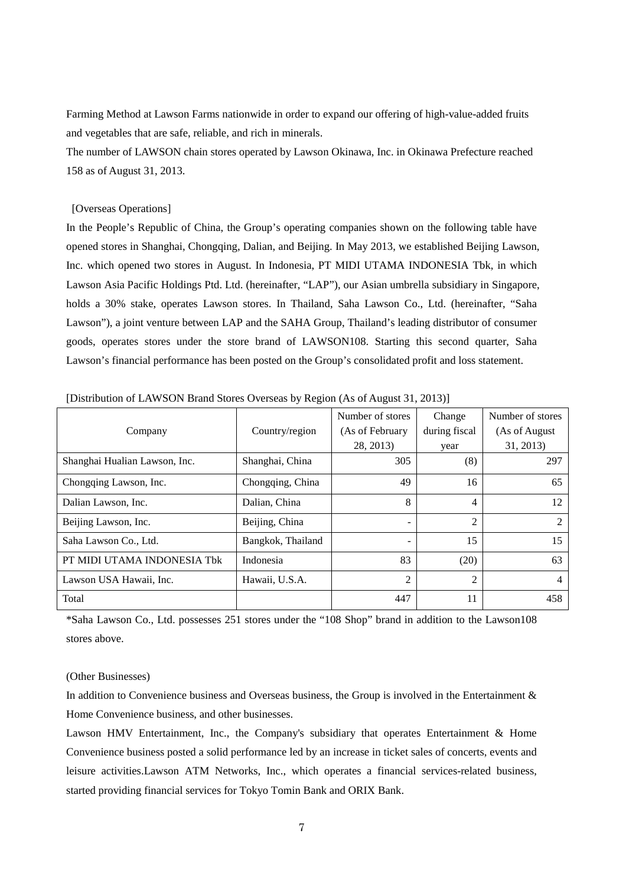Farming Method at Lawson Farms nationwide in order to expand our offering of high-value-added fruits and vegetables that are safe, reliable, and rich in minerals.

The number of LAWSON chain stores operated by Lawson Okinawa, Inc. in Okinawa Prefecture reached 158 as of August 31, 2013.

#### [Overseas Operations]

In the People's Republic of China, the Group's operating companies shown on the following table have opened stores in Shanghai, Chongqing, Dalian, and Beijing. In May 2013, we established Beijing Lawson, Inc. which opened two stores in August. In Indonesia, PT MIDI UTAMA INDONESIA Tbk, in which Lawson Asia Pacific Holdings Ptd. Ltd. (hereinafter, "LAP"), our Asian umbrella subsidiary in Singapore, holds a 30% stake, operates Lawson stores. In Thailand, Saha Lawson Co., Ltd. (hereinafter, "Saha Lawson"), a joint venture between LAP and the SAHA Group, Thailand's leading distributor of consumer goods, operates stores under the store brand of LAWSON108. Starting this second quarter, Saha Lawson's financial performance has been posted on the Group's consolidated profit and loss statement.

|                               |                   | Number of stores | Change         | Number of stores |
|-------------------------------|-------------------|------------------|----------------|------------------|
| Company                       | Country/region    | (As of February  | during fiscal  | (As of August)   |
|                               |                   | 28, 2013)        | year           | 31, 2013)        |
| Shanghai Hualian Lawson, Inc. | Shanghai, China   | 305              | (8)            | 297              |
| Chongqing Lawson, Inc.        | Chongqing, China  | 49               | 16             | 65               |
| Dalian Lawson, Inc.           | Dalian, China     | 8                | 4              | 12               |
| Beijing Lawson, Inc.          | Beijing, China    |                  | $\mathfrak{D}$ | 2                |
| Saha Lawson Co., Ltd.         | Bangkok, Thailand | -                | 15             | 15               |
| PT MIDI UTAMA INDONESIA Tbk   | Indonesia         | 83               | (20)           | 63               |
| Lawson USA Hawaii, Inc.       | Hawaii, U.S.A.    | $\overline{2}$   | $\overline{2}$ | $\overline{4}$   |
| Total                         |                   | 447              | 11             | 458              |

[Distribution of LAWSON Brand Stores Overseas by Region (As of August 31, 2013)]

\*Saha Lawson Co., Ltd. possesses 251 stores under the "108 Shop" brand in addition to the Lawson108 stores above.

#### (Other Businesses)

In addition to Convenience business and Overseas business, the Group is involved in the Entertainment & Home Convenience business, and other businesses.

Lawson HMV Entertainment, Inc., the Company's subsidiary that operates Entertainment & Home Convenience business posted a solid performance led by an increase in ticket sales of concerts, events and leisure activities.Lawson ATM Networks, Inc., which operates a financial services-related business, started providing financial services for Tokyo Tomin Bank and ORIX Bank.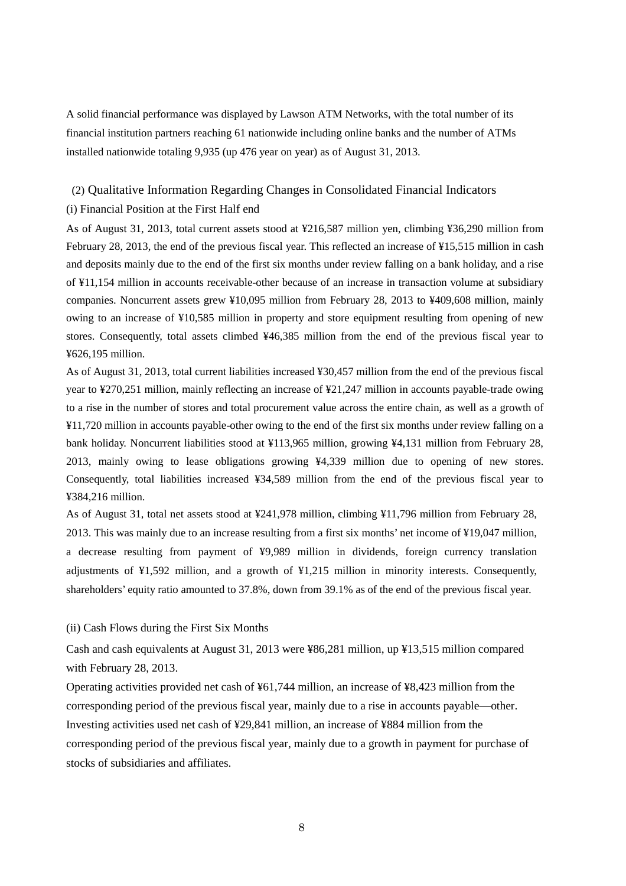A solid financial performance was displayed by Lawson ATM Networks, with the total number of its financial institution partners reaching 61 nationwide including online banks and the number of ATMs installed nationwide totaling 9,935 (up 476 year on year) as of August 31, 2013.

## (2) Qualitative Information Regarding Changes in Consolidated Financial Indicators

### (i) Financial Position at the First Half end

As of August 31, 2013, total current assets stood at ¥216,587 million yen, climbing ¥36,290 million from February 28, 2013, the end of the previous fiscal year. This reflected an increase of ¥15,515 million in cash and deposits mainly due to the end of the first six months under review falling on a bank holiday, and a rise of ¥11,154 million in accounts receivable-other because of an increase in transaction volume at subsidiary companies. Noncurrent assets grew ¥10,095 million from February 28, 2013 to ¥409,608 million, mainly owing to an increase of ¥10,585 million in property and store equipment resulting from opening of new stores. Consequently, total assets climbed ¥46,385 million from the end of the previous fiscal year to ¥626,195 million.

As of August 31, 2013, total current liabilities increased ¥30,457 million from the end of the previous fiscal year to ¥270,251 million, mainly reflecting an increase of ¥21,247 million in accounts payable-trade owing to a rise in the number of stores and total procurement value across the entire chain, as well as a growth of ¥11,720 million in accounts payable-other owing to the end of the first six months under review falling on a bank holiday. Noncurrent liabilities stood at ¥113,965 million, growing ¥4,131 million from February 28, 2013, mainly owing to lease obligations growing ¥4,339 million due to opening of new stores. Consequently, total liabilities increased ¥34,589 million from the end of the previous fiscal year to ¥384,216 million.

As of August 31, total net assets stood at ¥241,978 million, climbing ¥11,796 million from February 28, 2013. This was mainly due to an increase resulting from a first six months' net income of ¥19,047 million, a decrease resulting from payment of ¥9,989 million in dividends, foreign currency translation adjustments of ¥1,592 million, and a growth of ¥1,215 million in minority interests. Consequently, shareholders' equity ratio amounted to 37.8%, down from 39.1% as of the end of the previous fiscal year.

### (ii) Cash Flows during the First Six Months

Cash and cash equivalents at August 31, 2013 were ¥86,281 million, up ¥13,515 million compared with February 28, 2013.

Operating activities provided net cash of ¥61,744 million, an increase of ¥8,423 million from the corresponding period of the previous fiscal year, mainly due to a rise in accounts payable—other. Investing activities used net cash of ¥29,841 million, an increase of ¥884 million from the corresponding period of the previous fiscal year, mainly due to a growth in payment for purchase of stocks of subsidiaries and affiliates.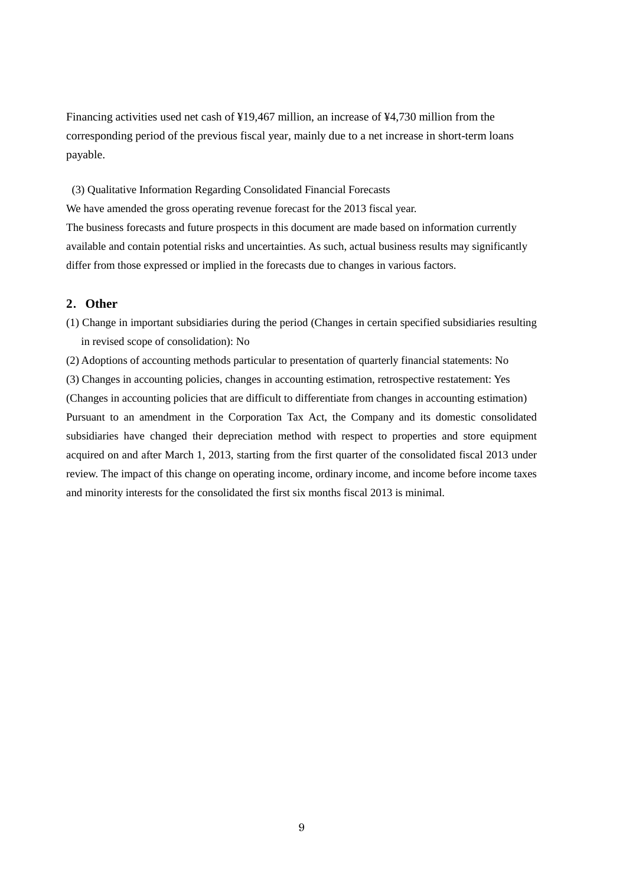Financing activities used net cash of ¥19,467 million, an increase of ¥4,730 million from the corresponding period of the previous fiscal year, mainly due to a net increase in short-term loans payable.

 (3) Qualitative Information Regarding Consolidated Financial Forecasts We have amended the gross operating revenue forecast for the 2013 fiscal year. The business forecasts and future prospects in this document are made based on information currently available and contain potential risks and uncertainties. As such, actual business results may significantly differ from those expressed or implied in the forecasts due to changes in various factors.

## **2**.**Other**

(1) Change in important subsidiaries during the period (Changes in certain specified subsidiaries resulting in revised scope of consolidation): No

(2) Adoptions of accounting methods particular to presentation of quarterly financial statements: No (3) Changes in accounting policies, changes in accounting estimation, retrospective restatement: Yes (Changes in accounting policies that are difficult to differentiate from changes in accounting estimation) Pursuant to an amendment in the Corporation Tax Act, the Company and its domestic consolidated subsidiaries have changed their depreciation method with respect to properties and store equipment acquired on and after March 1, 2013, starting from the first quarter of the consolidated fiscal 2013 under review. The impact of this change on operating income, ordinary income, and income before income taxes and minority interests for the consolidated the first six months fiscal 2013 is minimal.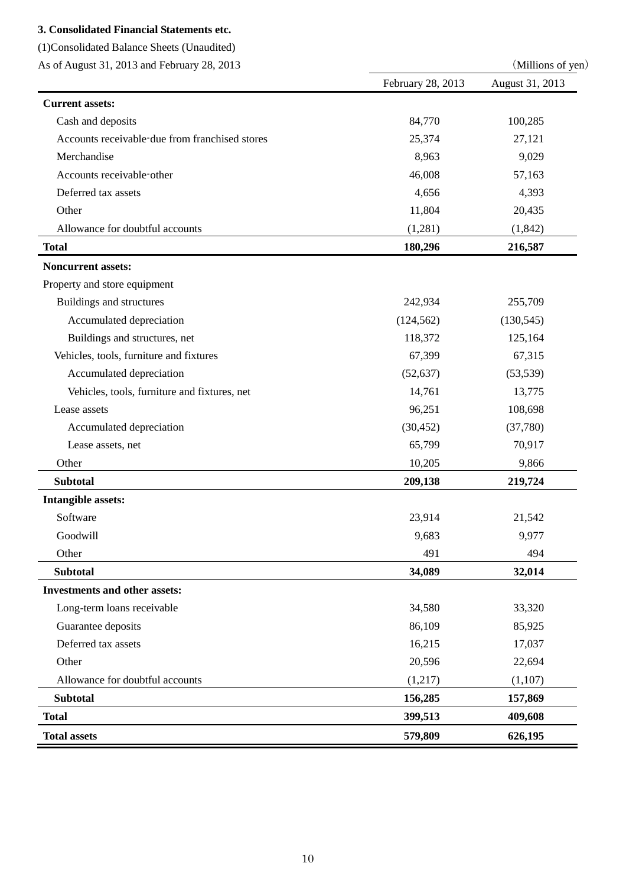## **3. Consolidated Financial Statements etc.**

(1)Consolidated Balance Sheets (Unaudited)

As of August 31, 2013 and February 28, 2013 (Millions of yen)

|                                                | February 28, 2013 | August 31, 2013 |
|------------------------------------------------|-------------------|-----------------|
| <b>Current assets:</b>                         |                   |                 |
| Cash and deposits                              | 84,770            | 100,285         |
| Accounts receivable-due from franchised stores | 25,374            | 27,121          |
| Merchandise                                    | 8,963             | 9,029           |
| Accounts receivable-other                      | 46,008            | 57,163          |
| Deferred tax assets                            | 4,656             | 4,393           |
| Other                                          | 11,804            | 20,435          |
| Allowance for doubtful accounts                | (1,281)           | (1,842)         |
| <b>Total</b>                                   | 180,296           | 216,587         |
| <b>Noncurrent assets:</b>                      |                   |                 |
| Property and store equipment                   |                   |                 |
| Buildings and structures                       | 242,934           | 255,709         |
| Accumulated depreciation                       | (124, 562)        | (130, 545)      |
| Buildings and structures, net                  | 118,372           | 125,164         |
| Vehicles, tools, furniture and fixtures        | 67,399            | 67,315          |
| Accumulated depreciation                       | (52, 637)         | (53, 539)       |
| Vehicles, tools, furniture and fixtures, net   | 14,761            | 13,775          |
| Lease assets                                   | 96,251            | 108,698         |
| Accumulated depreciation                       | (30, 452)         | (37,780)        |
| Lease assets, net                              | 65,799            | 70,917          |
| Other                                          | 10,205            | 9,866           |
| <b>Subtotal</b>                                | 209,138           | 219,724         |
| <b>Intangible assets:</b>                      |                   |                 |
| Software                                       | 23,914            | 21,542          |
| Goodwill                                       | 9,683             | 9,977           |
| Other                                          | 491               | 494             |
| <b>Subtotal</b>                                | 34,089            | 32,014          |
| <b>Investments and other assets:</b>           |                   |                 |
| Long-term loans receivable                     | 34,580            | 33,320          |
| Guarantee deposits                             | 86,109            | 85,925          |
| Deferred tax assets                            | 16,215            | 17,037          |
| Other                                          | 20,596            | 22,694          |
| Allowance for doubtful accounts                | (1,217)           | (1,107)         |
| <b>Subtotal</b>                                | 156,285           | 157,869         |
| <b>Total</b>                                   | 399,513           | 409,608         |
| <b>Total assets</b>                            | 579,809           | 626,195         |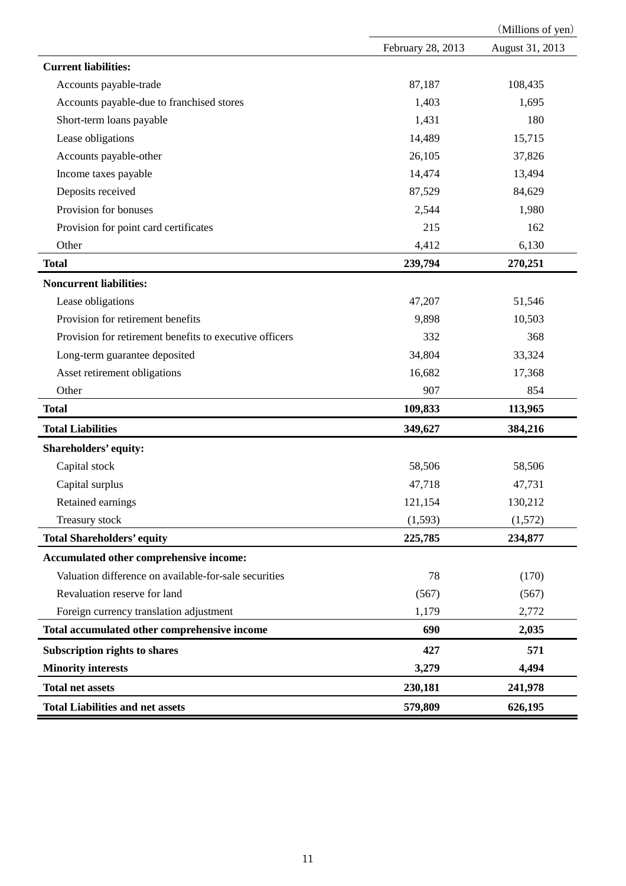|                                                         | (Millions of yen) |                 |  |  |
|---------------------------------------------------------|-------------------|-----------------|--|--|
|                                                         | February 28, 2013 | August 31, 2013 |  |  |
| <b>Current liabilities:</b>                             |                   |                 |  |  |
| Accounts payable-trade                                  | 87,187            | 108,435         |  |  |
| Accounts payable-due to franchised stores               | 1,403             | 1,695           |  |  |
| Short-term loans payable                                | 1,431             | 180             |  |  |
| Lease obligations                                       | 14,489            | 15,715          |  |  |
| Accounts payable-other                                  | 26,105            | 37,826          |  |  |
| Income taxes payable                                    | 14,474            | 13,494          |  |  |
| Deposits received                                       | 87,529            | 84,629          |  |  |
| Provision for bonuses                                   | 2,544             | 1,980           |  |  |
| Provision for point card certificates                   | 215               | 162             |  |  |
| Other                                                   | 4,412             | 6,130           |  |  |
| <b>Total</b>                                            | 239,794           | 270,251         |  |  |
| <b>Noncurrent liabilities:</b>                          |                   |                 |  |  |
| Lease obligations                                       | 47,207            | 51,546          |  |  |
| Provision for retirement benefits                       | 9,898             | 10,503          |  |  |
| Provision for retirement benefits to executive officers | 332               | 368             |  |  |
| Long-term guarantee deposited                           | 34,804            | 33,324          |  |  |
| Asset retirement obligations                            | 16,682            | 17,368          |  |  |
| Other                                                   | 907               | 854             |  |  |
| <b>Total</b>                                            | 109,833           | 113,965         |  |  |
| <b>Total Liabilities</b>                                | 349,627           | 384,216         |  |  |
| Shareholders' equity:                                   |                   |                 |  |  |
| Capital stock                                           | 58,506            | 58,506          |  |  |
| Capital surplus                                         | 47,718            | 47,731          |  |  |
| Retained earnings                                       | 121,154           | 130,212         |  |  |
| Treasury stock                                          | (1,593)           | (1,572)         |  |  |
| <b>Total Shareholders' equity</b>                       | 225,785           | 234,877         |  |  |
| Accumulated other comprehensive income:                 |                   |                 |  |  |
| Valuation difference on available-for-sale securities   | 78                | (170)           |  |  |
| Revaluation reserve for land                            | (567)             | (567)           |  |  |
| Foreign currency translation adjustment                 | 1,179             | 2,772           |  |  |
| Total accumulated other comprehensive income            | 690               | 2,035           |  |  |
| <b>Subscription rights to shares</b>                    | 427               | 571             |  |  |
| <b>Minority interests</b>                               | 3,279             | 4,494           |  |  |
| <b>Total net assets</b>                                 | 230,181           | 241,978         |  |  |
| <b>Total Liabilities and net assets</b>                 | 579,809           | 626,195         |  |  |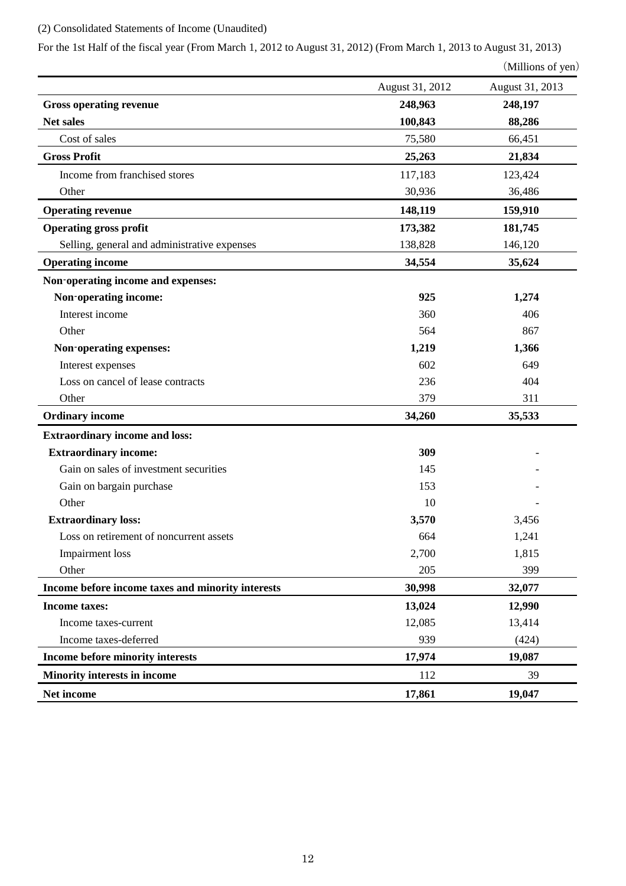# (2) Consolidated Statements of Income (Unaudited)

For the 1st Half of the fiscal year (From March 1, 2012 to August 31, 2012) (From March 1, 2013 to August 31, 2013)

| (Millions of yen) |  |
|-------------------|--|
|-------------------|--|

|                                                   | August 31, 2012 | August 31, 2013 |
|---------------------------------------------------|-----------------|-----------------|
| <b>Gross operating revenue</b>                    | 248,963         | 248,197         |
| Net sales                                         | 100,843         | 88,286          |
| Cost of sales                                     | 75,580          | 66,451          |
| <b>Gross Profit</b>                               | 25,263          | 21,834          |
| Income from franchised stores                     | 117,183         | 123,424         |
| Other                                             | 30,936          | 36,486          |
| <b>Operating revenue</b>                          | 148,119         | 159,910         |
| <b>Operating gross profit</b>                     | 173,382         | 181,745         |
| Selling, general and administrative expenses      | 138,828         | 146,120         |
| <b>Operating income</b>                           | 34,554          | 35,624          |
| Non-operating income and expenses:                |                 |                 |
| Non-operating income:                             | 925             | 1,274           |
| Interest income                                   | 360             | 406             |
| Other                                             | 564             | 867             |
| Non-operating expenses:                           | 1,219           | 1,366           |
| Interest expenses                                 | 602             | 649             |
| Loss on cancel of lease contracts                 | 236             | 404             |
| Other                                             | 379             | 311             |
| <b>Ordinary income</b>                            | 34,260          | 35,533          |
| <b>Extraordinary income and loss:</b>             |                 |                 |
| <b>Extraordinary income:</b>                      | 309             |                 |
| Gain on sales of investment securities            | 145             |                 |
| Gain on bargain purchase                          | 153             |                 |
| Other                                             | 10              |                 |
| <b>Extraordinary loss:</b>                        | 3,570           | 3,456           |
| Loss on retirement of noncurrent assets           | 664             | 1,241           |
| <b>Impairment</b> loss                            | 2,700           | 1,815           |
| Other                                             | 205             | 399             |
| Income before income taxes and minority interests | 30,998          | 32,077          |
| Income taxes:                                     | 13,024          | 12,990          |
| Income taxes-current                              | 12,085          | 13,414          |
| Income taxes-deferred                             | 939             | (424)           |
| Income before minority interests                  | 17,974          | 19,087          |
| Minority interests in income                      | 112             | 39              |
| Net income                                        | 17,861          | 19,047          |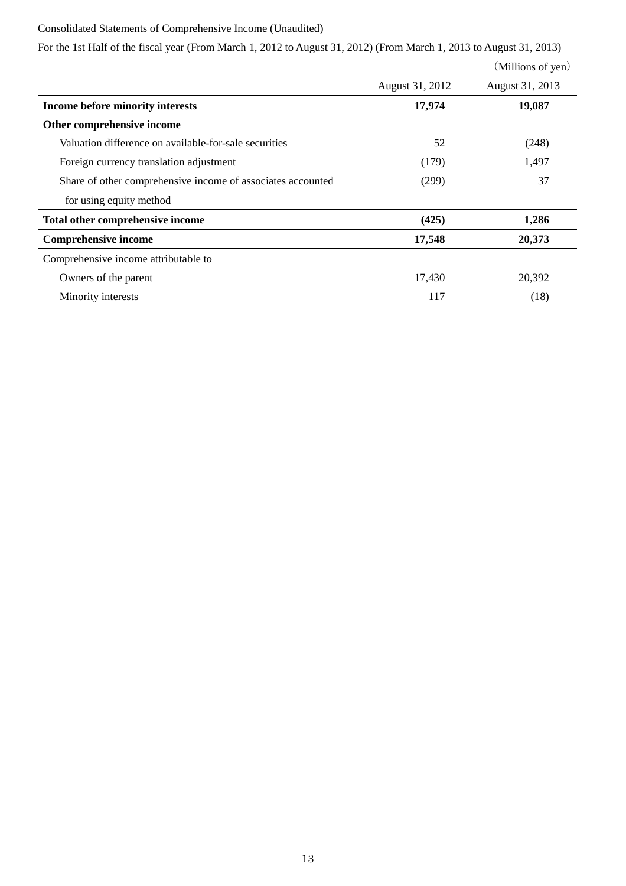## Consolidated Statements of Comprehensive Income (Unaudited)

For the 1st Half of the fiscal year (From March 1, 2012 to August 31, 2012) (From March 1, 2013 to August 31, 2013)

|                                                             |                 | (Millions of yen) |
|-------------------------------------------------------------|-----------------|-------------------|
|                                                             | August 31, 2012 | August 31, 2013   |
| Income before minority interests                            | 17,974          | 19,087            |
| Other comprehensive income                                  |                 |                   |
| Valuation difference on available-for-sale securities       | 52              | (248)             |
| Foreign currency translation adjustment                     | (179)           | 1,497             |
| Share of other comprehensive income of associates accounted | (299)           | 37                |
| for using equity method                                     |                 |                   |
| Total other comprehensive income                            | (425)           | 1,286             |
| <b>Comprehensive income</b>                                 | 17,548          | 20,373            |
| Comprehensive income attributable to                        |                 |                   |
| Owners of the parent                                        | 17,430          | 20,392            |
| Minority interests                                          | 117             | (18)              |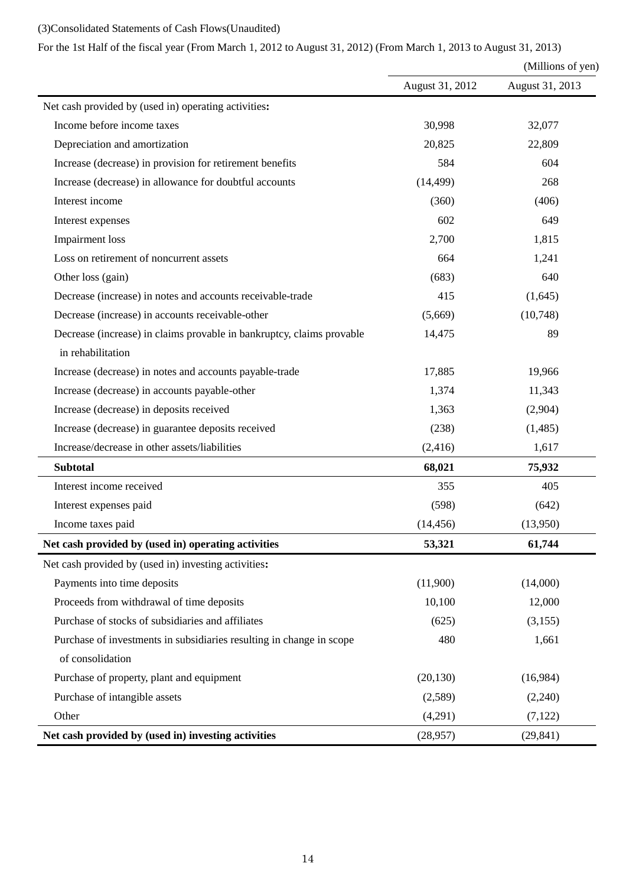# (3)Consolidated Statements of Cash Flows(Unaudited)

# For the 1st Half of the fiscal year (From March 1, 2012 to August 31, 2012) (From March 1, 2013 to August 31, 2013)

|                                                                       |                 | (Millions of yen) |  |
|-----------------------------------------------------------------------|-----------------|-------------------|--|
|                                                                       | August 31, 2012 | August 31, 2013   |  |
| Net cash provided by (used in) operating activities:                  |                 |                   |  |
| Income before income taxes                                            | 30,998          | 32,077            |  |
| Depreciation and amortization                                         | 20,825          | 22,809            |  |
| Increase (decrease) in provision for retirement benefits              | 584             | 604               |  |
| Increase (decrease) in allowance for doubtful accounts                | (14, 499)       | 268               |  |
| Interest income                                                       | (360)           | (406)             |  |
| Interest expenses                                                     | 602             | 649               |  |
| <b>Impairment</b> loss                                                | 2,700           | 1,815             |  |
| Loss on retirement of noncurrent assets                               | 664             | 1,241             |  |
| Other loss (gain)                                                     | (683)           | 640               |  |
| Decrease (increase) in notes and accounts receivable-trade            | 415             | (1,645)           |  |
| Decrease (increase) in accounts receivable-other                      | (5,669)         | (10,748)          |  |
| Decrease (increase) in claims provable in bankruptcy, claims provable | 14,475          | 89                |  |
| in rehabilitation                                                     |                 |                   |  |
| Increase (decrease) in notes and accounts payable-trade               | 17,885          | 19,966            |  |
| Increase (decrease) in accounts payable-other                         | 1,374           | 11,343            |  |
| Increase (decrease) in deposits received                              | 1,363           | (2,904)           |  |
| Increase (decrease) in guarantee deposits received                    | (238)           | (1,485)           |  |
| Increase/decrease in other assets/liabilities                         | (2, 416)        | 1,617             |  |
| <b>Subtotal</b>                                                       | 68,021          | 75,932            |  |
| Interest income received                                              | 355             | 405               |  |
| Interest expenses paid                                                | (598)           | (642)             |  |
| Income taxes paid                                                     | (14, 456)       | (13,950)          |  |
| Net cash provided by (used in) operating activities                   | 53,321          | 61,744            |  |
| Net cash provided by (used in) investing activities:                  |                 |                   |  |
| Payments into time deposits                                           | (11,900)        | (14,000)          |  |
| Proceeds from withdrawal of time deposits                             | 10,100          | 12,000            |  |
| Purchase of stocks of subsidiaries and affiliates                     | (625)           | (3,155)           |  |
| Purchase of investments in subsidiaries resulting in change in scope  | 480             | 1,661             |  |
| of consolidation                                                      |                 |                   |  |
| Purchase of property, plant and equipment                             | (20, 130)       | (16,984)          |  |
| Purchase of intangible assets                                         | (2,589)         | (2,240)           |  |
| Other                                                                 | (4,291)         | (7, 122)          |  |
| Net cash provided by (used in) investing activities                   | (28,957)        | (29, 841)         |  |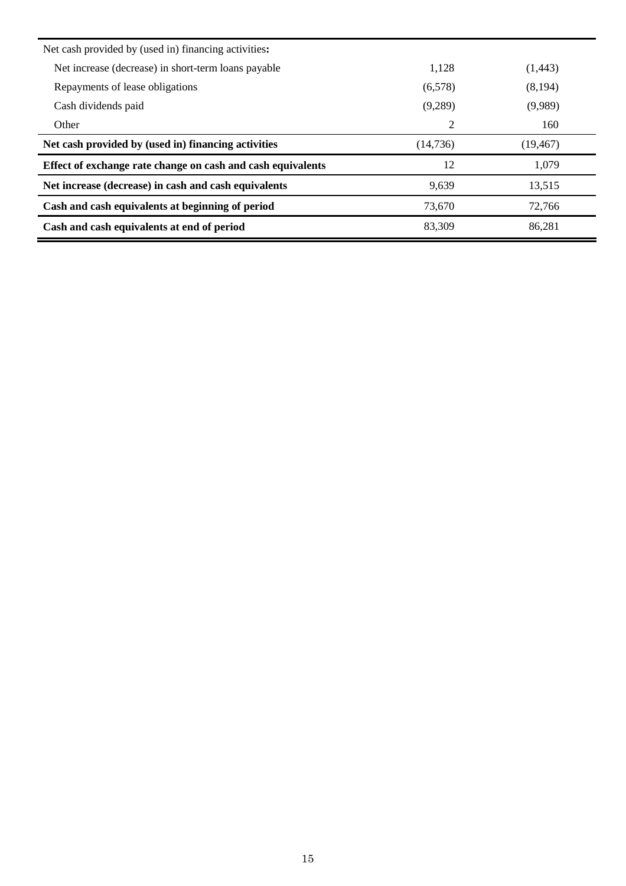| Net cash provided by (used in) financing activities:        |          |           |
|-------------------------------------------------------------|----------|-----------|
| Net increase (decrease) in short-term loans payable         | 1,128    | (1,443)   |
| Repayments of lease obligations                             | (6,578)  | (8,194)   |
| Cash dividends paid                                         | (9,289)  | (9,989)   |
| Other                                                       | 2        | 160       |
| Net cash provided by (used in) financing activities         | (14,736) | (19, 467) |
| Effect of exchange rate change on cash and cash equivalents | 12       | 1,079     |
| Net increase (decrease) in cash and cash equivalents        | 9,639    | 13,515    |
| Cash and cash equivalents at beginning of period            | 73.670   | 72,766    |
| Cash and cash equivalents at end of period                  | 83,309   | 86,281    |